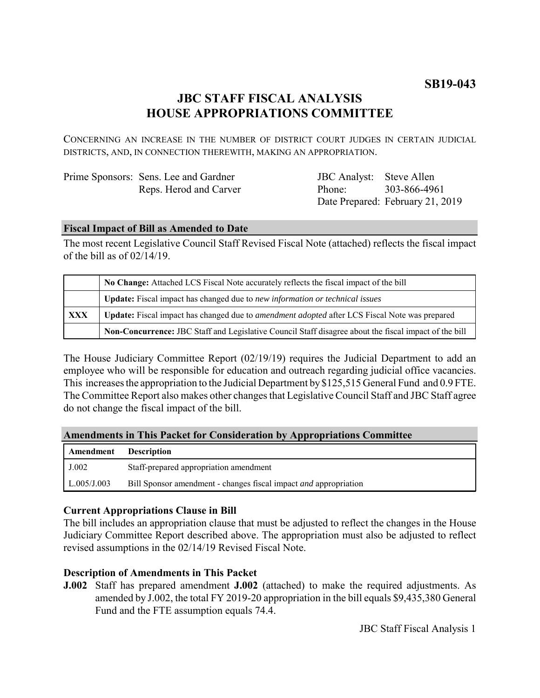# **JBC STAFF FISCAL ANALYSIS HOUSE APPROPRIATIONS COMMITTEE**

CONCERNING AN INCREASE IN THE NUMBER OF DISTRICT COURT JUDGES IN CERTAIN JUDICIAL DISTRICTS, AND, IN CONNECTION THEREWITH, MAKING AN APPROPRIATION.

| Prime Sponsors: Sens. Lee and Gardner |  |
|---------------------------------------|--|
| Reps. Herod and Carver                |  |

JBC Analyst: Steve Allen Phone: Date Prepared: February 21, 2019 303-866-4961

#### **Fiscal Impact of Bill as Amended to Date**

The most recent Legislative Council Staff Revised Fiscal Note (attached) reflects the fiscal impact of the bill as of 02/14/19.

|            | No Change: Attached LCS Fiscal Note accurately reflects the fiscal impact of the bill                 |  |
|------------|-------------------------------------------------------------------------------------------------------|--|
|            | <b>Update:</b> Fiscal impact has changed due to new information or technical issues                   |  |
| <b>XXX</b> | Update: Fiscal impact has changed due to <i>amendment adopted</i> after LCS Fiscal Note was prepared  |  |
|            | Non-Concurrence: JBC Staff and Legislative Council Staff disagree about the fiscal impact of the bill |  |

The House Judiciary Committee Report (02/19/19) requires the Judicial Department to add an employee who will be responsible for education and outreach regarding judicial office vacancies. This increases the appropriation to the Judicial Department by \$125,515 General Fund and 0.9 FTE. The Committee Report also makes other changes that Legislative Council Staff and JBC Staff agree do not change the fiscal impact of the bill.

#### **Amendments in This Packet for Consideration by Appropriations Committee**

| Amendment          | <b>Description</b>                                                      |
|--------------------|-------------------------------------------------------------------------|
| J.002              | Staff-prepared appropriation amendment                                  |
| $\mid$ L.005/J.003 | Bill Sponsor amendment - changes fiscal impact <i>and</i> appropriation |

# **Current Appropriations Clause in Bill**

The bill includes an appropriation clause that must be adjusted to reflect the changes in the House Judiciary Committee Report described above. The appropriation must also be adjusted to reflect revised assumptions in the 02/14/19 Revised Fiscal Note.

# **Description of Amendments in This Packet**

**J.002** Staff has prepared amendment **J.002** (attached) to make the required adjustments. As amended by J.002, the total FY 2019-20 appropriation in the bill equals \$9,435,380 General Fund and the FTE assumption equals 74.4.